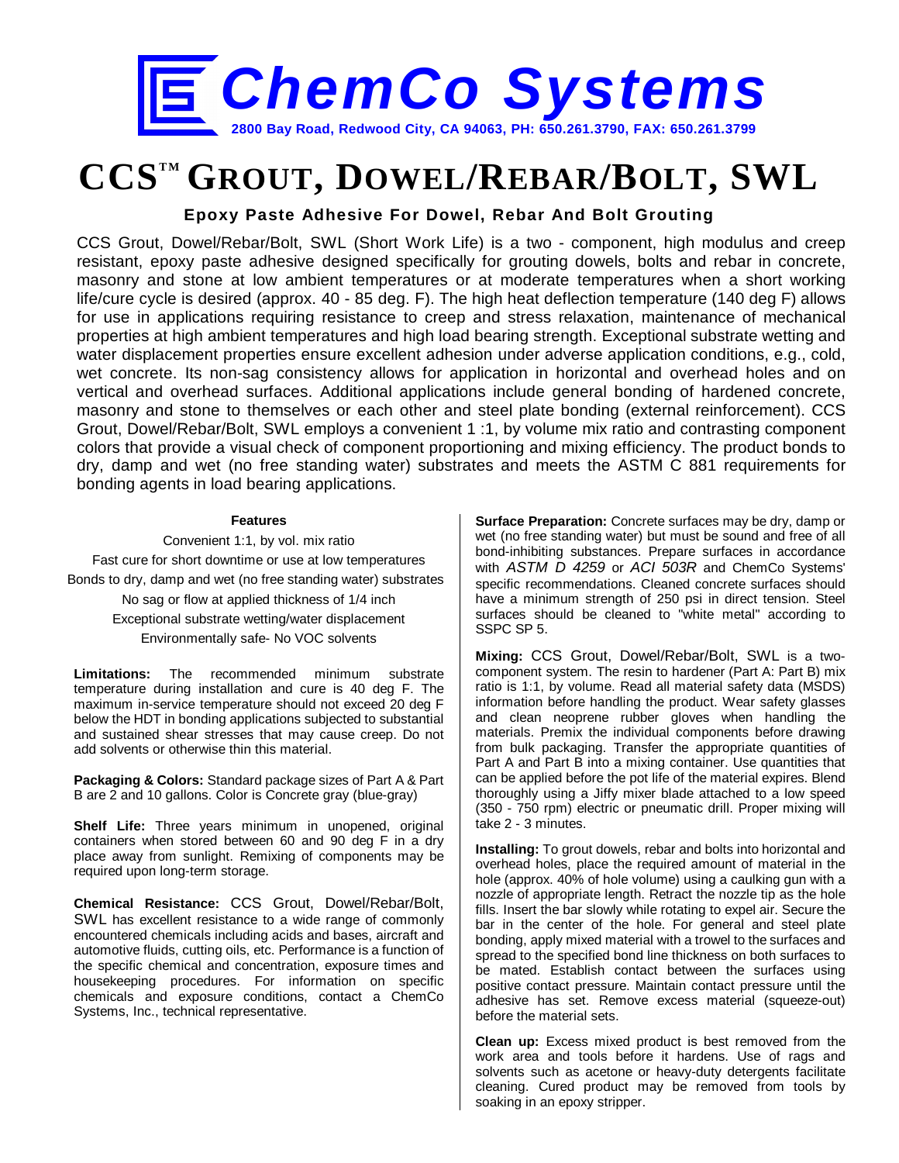

## **CCSTM GROUT, DOWEL/REBAR/BOLT, SWL**

**Epoxy Paste Adhesive For Dowel, Rebar And Bolt Grouting**

CCS Grout, Dowel/Rebar/Bolt, SWL (Short Work Life) is a two - component, high modulus and creep resistant, epoxy paste adhesive designed specifically for grouting dowels, bolts and rebar in concrete, masonry and stone at low ambient temperatures or at moderate temperatures when a short working life/cure cycle is desired (approx. 40 - 85 deg. F). The high heat deflection temperature (140 deg F) allows for use in applications requiring resistance to creep and stress relaxation, maintenance of mechanical properties at high ambient temperatures and high load bearing strength. Exceptional substrate wetting and water displacement properties ensure excellent adhesion under adverse application conditions, e.g., cold, wet concrete. Its non-sag consistency allows for application in horizontal and overhead holes and on vertical and overhead surfaces. Additional applications include general bonding of hardened concrete, masonry and stone to themselves or each other and steel plate bonding (external reinforcement). CCS Grout, Dowel/Rebar/Bolt, SWL employs a convenient 1 :1, by volume mix ratio and contrasting component colors that provide a visual check of component proportioning and mixing efficiency. The product bonds to dry, damp and wet (no free standing water) substrates and meets the ASTM C 881 requirements for bonding agents in load bearing applications.

## **Features**

Convenient 1:1, by vol. mix ratio Fast cure for short downtime or use at low temperatures Bonds to dry, damp and wet (no free standing water) substrates

No sag or flow at applied thickness of 1/4 inch Exceptional substrate wetting/water displacement Environmentally safe- No VOC solvents

**Limitations:** The recommended minimum substrate temperature during installation and cure is 40 deg F. The maximum in-service temperature should not exceed 20 deg F below the HDT in bonding applications subjected to substantial and sustained shear stresses that may cause creep. Do not add solvents or otherwise thin this material.

**Packaging & Colors:** Standard package sizes of Part A & Part B are 2 and 10 gallons. Color is Concrete gray (blue-gray)

**Shelf Life:** Three years minimum in unopened, original containers when stored between 60 and 90 deg F in a dry place away from sunlight. Remixing of components may be required upon long-term storage.

**Chemical Resistance:** CCS Grout, Dowel/Rebar/Bolt, SWL has excellent resistance to a wide range of commonly encountered chemicals including acids and bases, aircraft and automotive fluids, cutting oils, etc. Performance is a function of the specific chemical and concentration, exposure times and housekeeping procedures. For information on specific chemicals and exposure conditions, contact a ChemCo Systems, Inc., technical representative.

**Surface Preparation:** Concrete surfaces may be dry, damp or wet (no free standing water) but must be sound and free of all bond-inhibiting substances. Prepare surfaces in accordance with *ASTM D 4259* or *ACI 503R* and ChemCo Systems' specific recommendations. Cleaned concrete surfaces should have a minimum strength of 250 psi in direct tension. Steel surfaces should be cleaned to "white metal" according to SSPC SP 5.

**Mixing:** CCS Grout, Dowel/Rebar/Bolt, SWL is a twocomponent system. The resin to hardener (Part A: Part B) mix ratio is 1:1, by volume. Read all material safety data (MSDS) information before handling the product. Wear safety glasses and clean neoprene rubber gloves when handling the materials. Premix the individual components before drawing from bulk packaging. Transfer the appropriate quantities of Part A and Part B into a mixing container. Use quantities that can be applied before the pot life of the material expires. Blend thoroughly using a Jiffy mixer blade attached to a low speed (350 - 750 rpm) electric or pneumatic drill. Proper mixing will take 2 - 3 minutes.

**Installing:** To grout dowels, rebar and bolts into horizontal and overhead holes, place the required amount of material in the hole (approx. 40% of hole volume) using a caulking gun with a nozzle of appropriate length. Retract the nozzle tip as the hole fills. Insert the bar slowly while rotating to expel air. Secure the bar in the center of the hole. For general and steel plate bonding, apply mixed material with a trowel to the surfaces and spread to the specified bond line thickness on both surfaces to be mated. Establish contact between the surfaces using positive contact pressure. Maintain contact pressure until the adhesive has set. Remove excess material (squeeze-out) before the material sets.

**Clean up:** Excess mixed product is best removed from the work area and tools before it hardens. Use of rags and solvents such as acetone or heavy-duty detergents facilitate cleaning. Cured product may be removed from tools by soaking in an epoxy stripper.